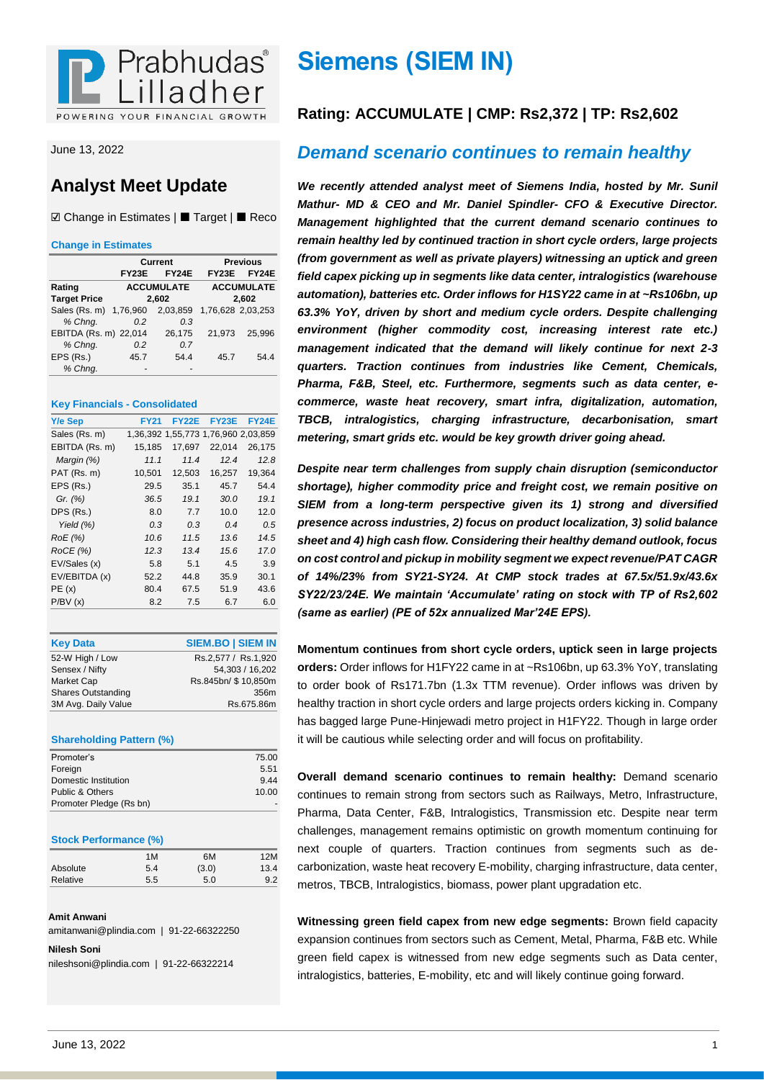

June 13, 2022

## **Analyst Meet Update**

☑ Change in Estimates | Target | Reco

#### **Change in Estimates**

|                        |              | Current           |                   | <b>Previous</b>   |
|------------------------|--------------|-------------------|-------------------|-------------------|
|                        | <b>FY23E</b> | <b>FY24E</b>      | <b>FY23E</b>      | <b>FY24E</b>      |
| Rating                 |              | <b>ACCUMULATE</b> |                   | <b>ACCUMULATE</b> |
| <b>Target Price</b>    |              | 2,602             |                   | 2,602             |
| Sales (Rs. m) 1,76,960 |              | 2,03,859          | 1,76,628 2,03,253 |                   |
| % Chng.                | 0.2          | 0.3               |                   |                   |
| EBITDA (Rs. m) 22,014  |              | 26,175            | 21.973            | 25.996            |
| % Chng.                | 0.2          | 0.7               |                   |                   |
| EPS (Rs.)              | 45.7         | 54.4              | 45.7              | 54.4              |
| % Chng.                |              |                   |                   |                   |

#### **Key Financials - Consolidated**

| Y/e Sep        | <b>FY21</b> | FY22E  | <b>FY23E</b>                        | <b>FY24E</b> |
|----------------|-------------|--------|-------------------------------------|--------------|
| Sales (Rs. m)  |             |        | 1,36,392 1,55,773 1,76,960 2,03,859 |              |
| EBITDA (Rs. m) | 15,185      | 17,697 | 22,014                              | 26,175       |
| Margin (%)     | 11.1        | 11.4   | 12.4                                | 12.8         |
| PAT (Rs. m)    | 10,501      | 12,503 | 16,257                              | 19,364       |
| EPS (Rs.)      | 29.5        | 35.1   | 45.7                                | 54.4         |
| Gr. (%)        | 36.5        | 19.1   | 30.0                                | 19.1         |
| DPS (Rs.)      | 8.0         | 7.7    | 10.0                                | 12.0         |
| Yield $(%)$    | 0.3         | 0.3    | 0.4                                 | 0.5          |
| RoE (%)        | 10.6        | 11.5   | 13.6                                | 14.5         |
| ROCE(%)        | 12.3        | 13.4   | 15.6                                | 17.C         |
| EV/Sales (x)   | 5.8         | 5.1    | 4.5                                 | 3.9          |
| EV/EBITDA (x)  | 52.2        | 44.8   | 35.9                                | 30.1         |
| PE(x)          | 80.4        | 67.5   | 51.9                                | 43.6         |
| P/BV(x)        | 8.2         | 7.5    | 6.7                                 | 6.0          |
|                |             |        |                                     |              |

| <b>Key Data</b>           | <b>SIEM.BO   SIEM IN</b> |
|---------------------------|--------------------------|
| 52-W High / Low           | Rs.2.577 / Rs.1.920      |
| Sensex / Nifty            | 54.303 / 16.202          |
| Market Cap                | Rs.845bn/ \$10,850m      |
| <b>Shares Outstanding</b> | 356m                     |
| 3M Avg. Daily Value       | Rs.675.86m               |

#### **Shareholding Pattern (%)**

| Promoter's              | 75.00 |
|-------------------------|-------|
| Foreign                 | 5.51  |
| Domestic Institution    | 944   |
| Public & Others         | 10.00 |
| Promoter Pledge (Rs bn) |       |

#### **Stock Performance (%)**

|          | 1M  | 6M    | 12M  |
|----------|-----|-------|------|
| Absolute | 5.4 | (3.0) | 13.4 |
| Relative | 5.5 | 5.0   | 9.2  |

#### **Amit Anwani**

amitanwani@plindia.com | 91-22-66322250

**Nilesh Soni**

nileshsoni@plindia.com | 91-22-66322214

## **Siemens (SIEM IN)**

## **Rating: ACCUMULATE | CMP: Rs2,372 | TP: Rs2,602**

## *Demand scenario continues to remain healthy*

*We recently attended analyst meet of Siemens India, hosted by Mr. Sunil Mathur- MD & CEO and Mr. Daniel Spindler- CFO & Executive Director. Management highlighted that the current demand scenario continues to remain healthy led by continued traction in short cycle orders, large projects (from government as well as private players) witnessing an uptick and green field capex picking up in segments like data center, intralogistics (warehouse automation), batteries etc. Order inflows for H1SY22 came in at ~Rs106bn, up 63.3% YoY, driven by short and medium cycle orders. Despite challenging environment (higher commodity cost, increasing interest rate etc.) management indicated that the demand will likely continue for next 2-3 quarters. Traction continues from industries like Cement, Chemicals, Pharma, F&B, Steel, etc. Furthermore, segments such as data center, ecommerce, waste heat recovery, smart infra, digitalization, automation, TBCB, intralogistics, charging infrastructure, decarbonisation, smart metering, smart grids etc. would be key growth driver going ahead.*

*Despite near term challenges from supply chain disruption (semiconductor shortage), higher commodity price and freight cost, we remain positive on SIEM from a long-term perspective given its 1) strong and diversified presence across industries, 2) focus on product localization, 3) solid balance sheet and 4) high cash flow. Considering their healthy demand outlook, focus on cost control and pickup in mobility segment we expect revenue/PAT CAGR of 14%/23% from SY21-SY24. At CMP stock trades at 67.5x/51.9x/43.6x SY22/23/24E. We maintain 'Accumulate' rating on stock with TP of Rs2,602 (same as earlier) (PE of 52x annualized Mar'24E EPS).*

**Momentum continues from short cycle orders, uptick seen in large projects orders:** Order inflows for H1FY22 came in at ~Rs106bn, up 63.3% YoY, translating to order book of Rs171.7bn (1.3x TTM revenue). Order inflows was driven by healthy traction in short cycle orders and large projects orders kicking in. Company has bagged large Pune-Hinjewadi metro project in H1FY22. Though in large order it will be cautious while selecting order and will focus on profitability.

**Overall demand scenario continues to remain healthy:** Demand scenario continues to remain strong from sectors such as Railways, Metro, Infrastructure, Pharma, Data Center, F&B, Intralogistics, Transmission etc. Despite near term challenges, management remains optimistic on growth momentum continuing for next couple of quarters. Traction continues from segments such as decarbonization, waste heat recovery E-mobility, charging infrastructure, data center, metros, TBCB, Intralogistics, biomass, power plant upgradation etc.

**Witnessing green field capex from new edge segments:** Brown field capacity expansion continues from sectors such as Cement, Metal, Pharma, F&B etc. While green field capex is witnessed from new edge segments such as Data center, intralogistics, batteries, E-mobility, etc and will likely continue going forward.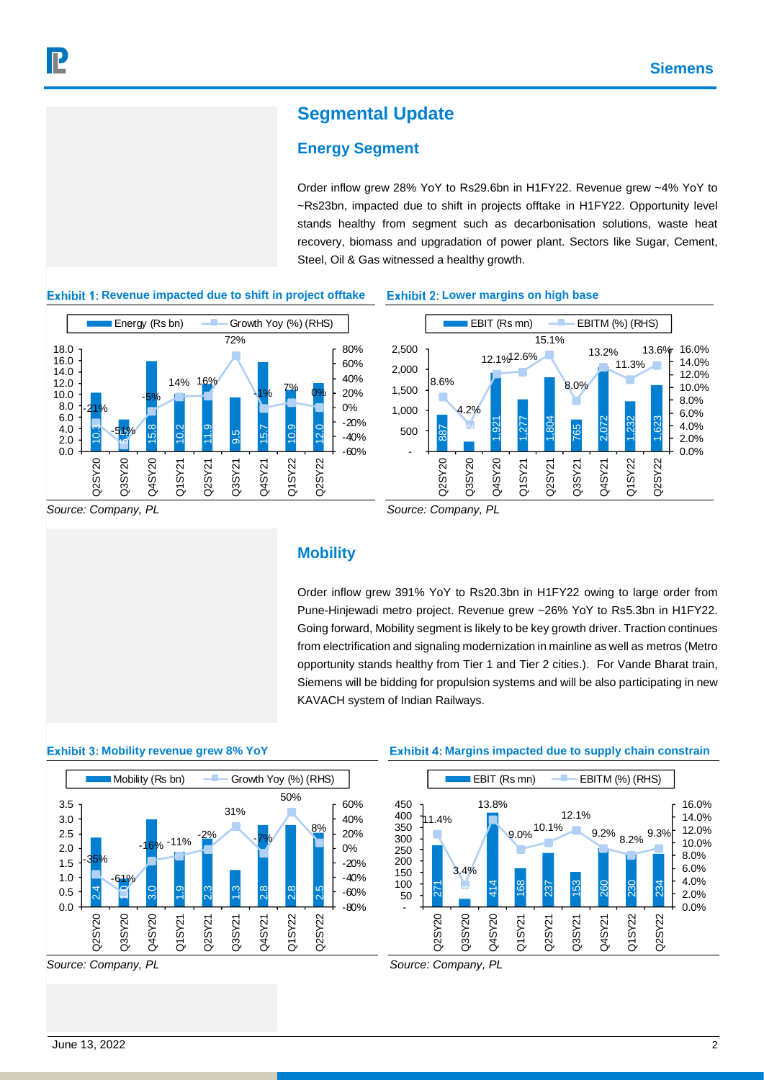## **Segmental Update**

## **Energy Segment**

Order inflow grew 28% YoY to Rs29.6bn in H1FY22. Revenue grew ~4% YoY to ~Rs23bn, impacted due to shift in projects offtake in H1FY22. Opportunity level stands healthy from segment such as decarbonisation solutions, waste heat recovery, biomass and upgradation of power plant. Sectors like Sugar, Cement, Steel, Oil & Gas witnessed a healthy growth.



#### **Exhibit 1: Revenue impacted due to shift in project offtake**

#### **Exhibit 2: Lower margins on high base**



*Source: Company, PL*

*Source: Company, PL*

### **Mobility**

Order inflow grew 391% YoY to Rs20.3bn in H1FY22 owing to large order from Pune-Hinjewadi metro project. Revenue grew ~26% YoY to Rs5.3bn in H1FY22. Going forward, Mobility segment is likely to be key growth driver. Traction continues from electrification and signaling modernization in mainline as well as metros (Metro opportunity stands healthy from Tier 1 and Tier 2 cities.). For Vande Bharat train, Siemens will be bidding for propulsion systems and will be also participating in new KAVACH system of Indian Railways.

#### **Exhibit 3: Mobility revenue grew 8% YoY**



*Source: Company, PL*

#### **Exhibit 4: Margins impacted due to supply chain constrain**



*Source: Company, PL*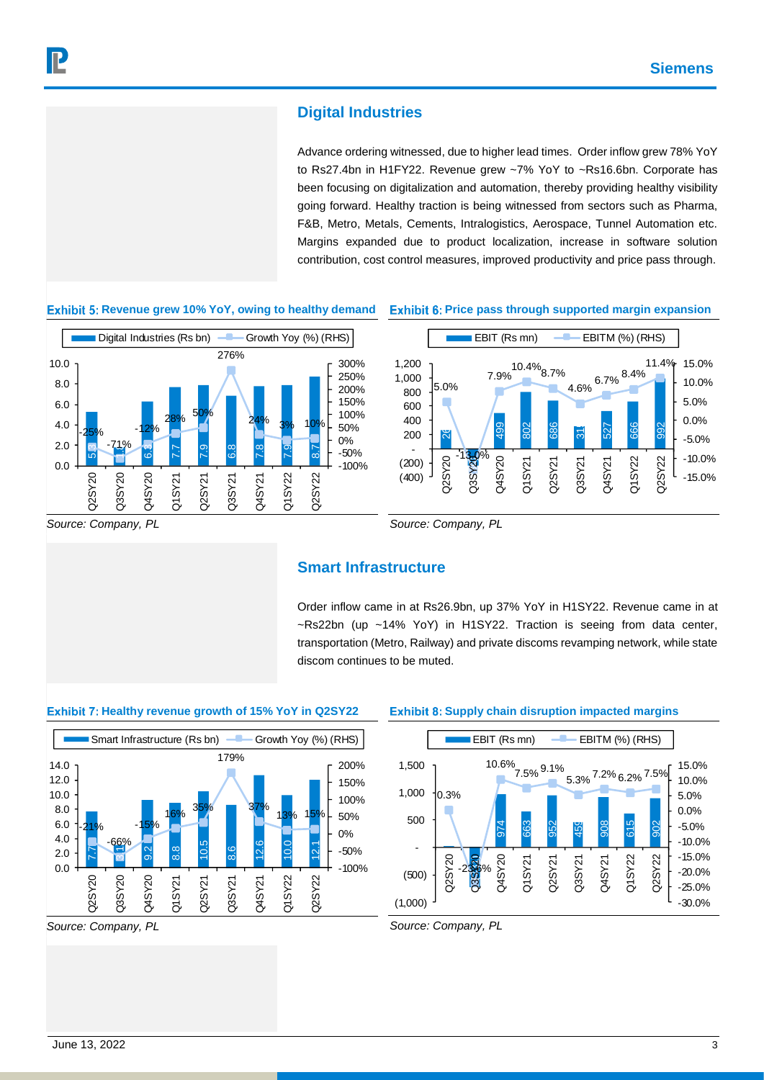## **Digital Industries**

Advance ordering witnessed, due to higher lead times. Order inflow grew 78% YoY to Rs27.4bn in H1FY22. Revenue grew ~7% YoY to ~Rs16.6bn. Corporate has been focusing on digitalization and automation, thereby providing healthy visibility going forward. Healthy traction is being witnessed from sectors such as Pharma, F&B, Metro, Metals, Cements, Intralogistics, Aerospace, Tunnel Automation etc. Margins expanded due to product localization, increase in software solution contribution, cost control measures, improved productivity and price pass through.

#### **Exhibit 5: Revenue grew 10% YoY, owing to healthy demand**



#### **Exhibit 6: Price pass through supported margin expansion**



*Source: Company, PL*

### **Smart Infrastructure**

Order inflow came in at Rs26.9bn, up 37% YoY in H1SY22. Revenue came in at ~Rs22bn (up ~14% YoY) in H1SY22. Traction is seeing from data center, transportation (Metro, Railway) and private discoms revamping network, while state discom continues to be muted.

#### **Exhibit 7: Healthy revenue growth of 15% YoY in Q2SY22**



*Source: Company, PL*

#### **Exhibit 8: Supply chain disruption impacted margins**



*Source: Company, PL*

*Source: Company, PL*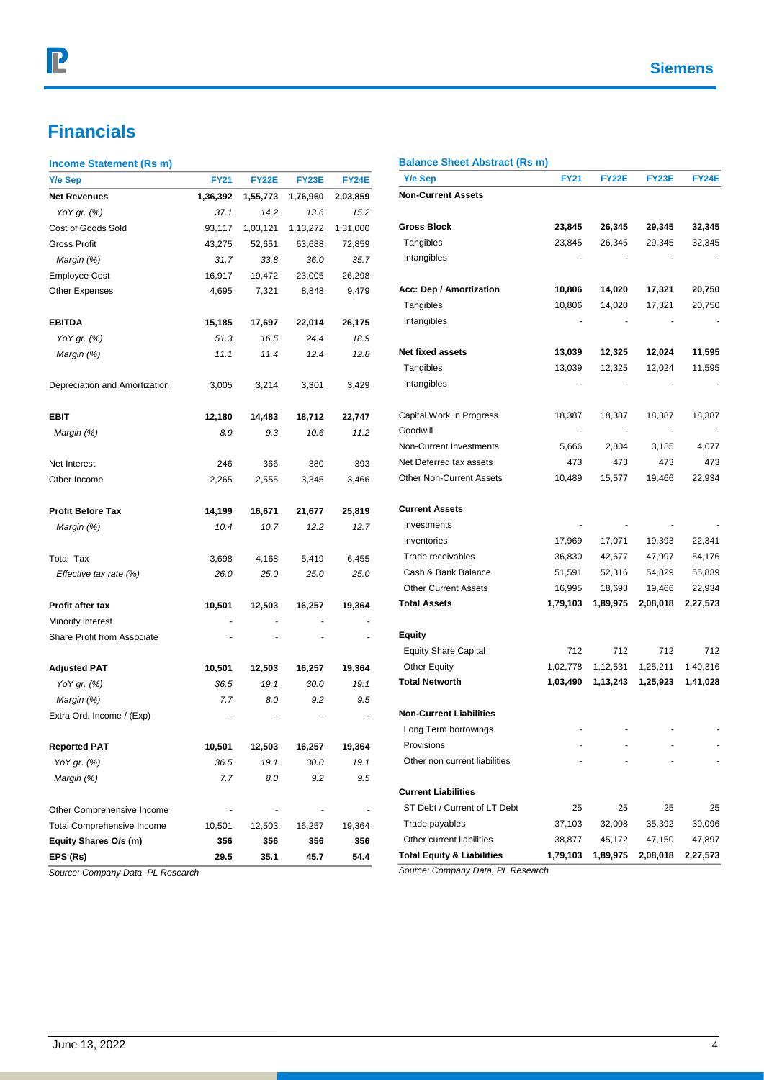## **Financials**

#### **Income Statement (Rs m)**

| Y/e Sep                           | <b>FY21</b> | <b>FY22E</b> | FY23E    | <b>FY24E</b> |
|-----------------------------------|-------------|--------------|----------|--------------|
| <b>Net Revenues</b>               | 1,36,392    | 1,55,773     | 1,76,960 | 2,03,859     |
| YoY gr. (%)                       | 37.1        | 14.2         | 13.6     | 15.2         |
| Cost of Goods Sold                | 93,117      | 1,03,121     | 1,13,272 | 1,31,000     |
| Gross Profit                      | 43,275      | 52,651       | 63,688   | 72,859       |
| Margin (%)                        | 31.7        | 33.8         | 36.0     | 35.7         |
| <b>Employee Cost</b>              | 16,917      | 19,472       | 23,005   | 26,298       |
| <b>Other Expenses</b>             | 4,695       | 7,321        | 8,848    | 9,479        |
| <b>EBITDA</b>                     | 15,185      | 17,697       | 22,014   | 26,175       |
| YoY gr. (%)                       | 51.3        | 16.5         | 24.4     | 18.9         |
| Margin (%)                        | 11.1        | 11.4         | 12.4     | 12.8         |
| Depreciation and Amortization     | 3,005       | 3,214        | 3,301    | 3,429        |
| EBIT                              | 12,180      | 14,483       | 18,712   | 22,747       |
| Margin (%)                        | 8.9         | 9.3          | 10.6     | 11.2         |
| Net Interest                      | 246         | 366          | 380      | 393          |
| Other Income                      | 2,265       | 2,555        | 3,345    | 3,466        |
| <b>Profit Before Tax</b>          | 14,199      | 16,671       | 21,677   | 25,819       |
| Margin (%)                        | 10.4        | 10.7         | 12.2     | 12.7         |
| <b>Total Tax</b>                  | 3,698       | 4,168        | 5,419    | 6,455        |
| Effective tax rate (%)            | 26.0        | 25.0         | 25.0     | 25.0         |
| Profit after tax                  | 10,501      | 12,503       | 16,257   | 19,364       |
| Minority interest                 |             |              |          |              |
| Share Profit from Associate       |             |              |          |              |
| <b>Adjusted PAT</b>               | 10,501      | 12,503       | 16,257   | 19,364       |
| YoY gr. (%)                       | 36.5        | 19.1         | 30.0     | 19.1         |
| Margin (%)                        | 7.7         | 8.0          | 9.2      | 9.5          |
| Extra Ord. Income / (Exp)         |             |              |          |              |
| <b>Reported PAT</b>               | 10.501      | 12,503       | 16,257   | 19,364       |
| YoY gr. (%)                       | 36.5        | 19.1         | 30.0     | 19.1         |
| Margin (%)                        | 7.7         | 8.0          | 9.2      | 9.5          |
| Other Comprehensive Income        |             |              |          |              |
| <b>Total Comprehensive Income</b> | 10,501      | 12,503       | 16,257   | 19,364       |
| Equity Shares O/s (m)             | 356         | 356          | 356      | 356          |
| EPS (Rs)                          | 29.5        | 35.1         | 45.7     | 54.4         |

#### *Source: Company Data, PL Research*

#### **Balance Sheet Abstract (Rs m)**

| <b>Y/e Sep</b>                        | <b>FY21</b> | FY22E    | <b>FY23E</b> | FY24E    |
|---------------------------------------|-------------|----------|--------------|----------|
| <b>Non-Current Assets</b>             |             |          |              |          |
| Gross Block                           | 23,845      | 26,345   | 29,345       | 32,345   |
| Tangibles                             | 23,845      | 26,345   | 29,345       | 32,345   |
| Intangibles                           |             |          |              |          |
| Acc: Dep / Amortization               | 10,806      | 14,020   | 17,321       | 20,750   |
| Tangibles                             | 10,806      | 14,020   | 17,321       | 20,750   |
| Intangibles                           |             |          |              |          |
| Net fixed assets                      | 13,039      | 12,325   | 12,024       | 11,595   |
| Tangibles                             | 13,039      | 12,325   | 12,024       | 11,595   |
| Intangibles                           |             |          |              |          |
| Capital Work In Progress              | 18,387      | 18,387   | 18,387       | 18,387   |
| Goodwill                              |             |          |              |          |
| Non-Current Investments               | 5,666       | 2,804    | 3,185        | 4,077    |
| Net Deferred tax assets               | 473         | 473      | 473          | 473      |
| <b>Other Non-Current Assets</b>       | 10,489      | 15,577   | 19,466       | 22,934   |
| <b>Current Assets</b>                 |             |          |              |          |
| Investments                           |             |          |              |          |
| Inventories                           | 17,969      | 17,071   | 19,393       | 22,341   |
| Trade receivables                     | 36,830      | 42,677   | 47,997       | 54,176   |
| Cash & Bank Balance                   | 51,591      | 52,316   | 54,829       | 55,839   |
| <b>Other Current Assets</b>           | 16,995      | 18,693   | 19,466       | 22,934   |
| <b>Total Assets</b>                   | 1,79,103    | 1,89,975 | 2,08,018     | 2,27,573 |
| Equity                                |             |          |              |          |
| <b>Equity Share Capital</b>           | 712         | 712      | 712          | 712      |
| <b>Other Equity</b>                   | 1,02,778    | 1,12,531 | 1,25,211     | 1,40,316 |
| <b>Total Networth</b>                 | 1,03,490    | 1,13,243 | 1,25,923     | 1,41,028 |
| <b>Non-Current Liabilities</b>        |             |          |              |          |
| Long Term borrowings                  |             |          |              |          |
| Provisions                            |             |          |              |          |
| Other non current liabilities         |             |          |              |          |
| <b>Current Liabilities</b>            |             |          |              |          |
| ST Debt / Current of LT Debt          | 25          | 25       | 25           | 25       |
| Trade payables                        | 37,103      | 32,008   | 35,392       | 39,096   |
| Other current liabilities             | 38,877      | 45,172   | 47,150       | 47,897   |
| <b>Total Equity &amp; Liabilities</b> | 1,79,103    | 1,89,975 | 2,08,018     | 2,27,573 |

*Source: Company Data, PL Research*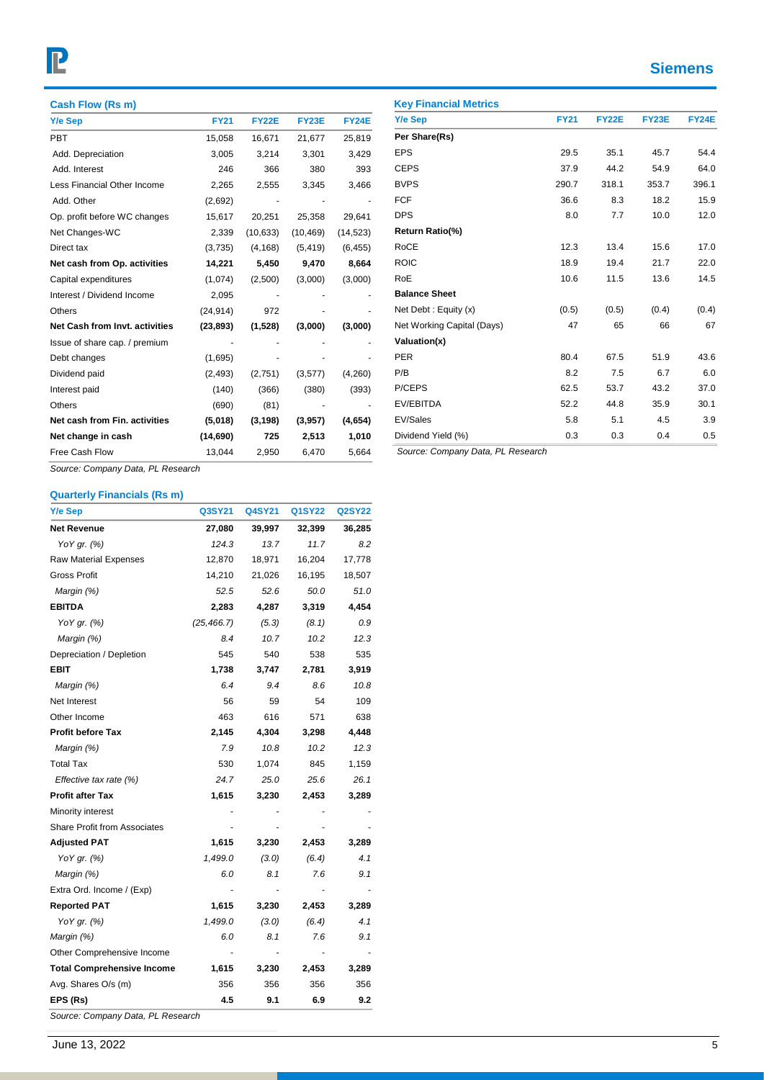# P

## **Siemens**

| Cash Flow (Rs m)                  |             |              |              |              |
|-----------------------------------|-------------|--------------|--------------|--------------|
| Y/e Sep                           | <b>FY21</b> | <b>FY22E</b> | <b>FY23E</b> | <b>FY24E</b> |
| <b>PBT</b>                        | 15,058      | 16,671       | 21,677       | 25.819       |
| Add. Depreciation                 | 3,005       | 3,214        | 3,301        | 3,429        |
| Add. Interest                     | 246         | 366          | 380          | 393          |
| Less Financial Other Income       | 2,265       | 2,555        | 3,345        | 3,466        |
| Add. Other                        | (2,692)     |              |              |              |
| Op. profit before WC changes      | 15,617      | 20,251       | 25,358       | 29,641       |
| Net Changes-WC                    | 2,339       | (10, 633)    | (10, 469)    | (14, 523)    |
| Direct tax                        | (3,735)     | (4, 168)     | (5, 419)     | (6, 455)     |
| Net cash from Op. activities      | 14,221      | 5,450        | 9,470        | 8,664        |
| Capital expenditures              | (1,074)     | (2,500)      | (3,000)      | (3,000)      |
| Interest / Dividend Income        | 2,095       |              |              |              |
| Others                            | (24, 914)   | 972          |              |              |
| Net Cash from Invt. activities    | (23, 893)   | (1,528)      | (3,000)      | (3,000)      |
| Issue of share cap. / premium     |             |              |              |              |
| Debt changes                      | (1,695)     |              |              |              |
| Dividend paid                     | (2, 493)    | (2,751)      | (3,577)      | (4,260)      |
| Interest paid                     | (140)       | (366)        | (380)        | (393)        |
| Others                            | (690)       | (81)         |              |              |
| Net cash from Fin. activities     | (5,018)     | (3, 198)     | (3,957)      | (4,654)      |
| Net change in cash                | (14, 690)   | 725          | 2,513        | 1,010        |
| Free Cash Flow                    | 13,044      | 2,950        | 6,470        | 5,664        |
| Course: Company Data, BL Benearah |             |              |              |              |

| Y/e Sep                           | <b>FY21</b> | <b>FY22E</b> | <b>FY23E</b> | <b>FY24E</b> |
|-----------------------------------|-------------|--------------|--------------|--------------|
| Per Share(Rs)                     |             |              |              |              |
| <b>EPS</b>                        | 29.5        | 35.1         | 45.7         | 54.4         |
| <b>CEPS</b>                       | 37.9        | 44.2         | 54.9         | 64.0         |
| <b>BVPS</b>                       | 290.7       | 318.1        | 353.7        | 396.1        |
| <b>FCF</b>                        | 36.6        | 8.3          | 18.2         | 15.9         |
| <b>DPS</b>                        | 8.0         | 7.7          | 10.0         | 12.0         |
| Return Ratio(%)                   |             |              |              |              |
| <b>RoCE</b>                       | 12.3        | 13.4         | 15.6         | 17.0         |
| <b>ROIC</b>                       | 18.9        | 19.4         | 21.7         | 22.0         |
| RoE                               | 10.6        | 11.5         | 13.6         | 14.5         |
| <b>Balance Sheet</b>              |             |              |              |              |
| Net Debt: Equity (x)              | (0.5)       | (0.5)        | (0.4)        | (0.4)        |
| Net Working Capital (Days)        | 47          | 65           | 66           | 67           |
| Valuation(x)                      |             |              |              |              |
| <b>PER</b>                        | 80.4        | 67.5         | 51.9         | 43.6         |
| P/B                               | 8.2         | 7.5          | 6.7          | 6.0          |
| P/CEPS                            | 62.5        | 53.7         | 43.2         | 37.0         |
| EV/EBITDA                         | 52.2        | 44.8         | 35.9         | 30.1         |
| EV/Sales                          | 5.8         | 5.1          | 4.5          | 3.9          |
| Dividend Yield (%)                | 0.3         | 0.3          | 0.4          | 0.5          |
| Source: Company Data, PL Research |             |              |              |              |

*Source: Company Data, PL Research*

#### **Quarterly Financials (Rs m)**

| <b>Y/e Sep</b>                      | Q3SY21      | Q4SY21 | Q1SY22 | <b>Q2SY22</b> |
|-------------------------------------|-------------|--------|--------|---------------|
| <b>Net Revenue</b>                  | 27,080      | 39,997 | 32,399 | 36,285        |
| YoY gr. (%)                         | 124.3       | 13.7   | 11.7   | 8.2           |
| <b>Raw Material Expenses</b>        | 12,870      | 18,971 | 16,204 | 17,778        |
| <b>Gross Profit</b>                 | 14,210      | 21,026 | 16,195 | 18,507        |
| Margin (%)                          | 52.5        | 52.6   | 50.0   | 51.0          |
| <b>EBITDA</b>                       | 2,283       | 4,287  | 3,319  | 4,454         |
| YoY gr. (%)                         | (25, 466.7) | (5.3)  | (8.1)  | 0.9           |
| Margin (%)                          | 8.4         | 10.7   | 10.2   | 12.3          |
| Depreciation / Depletion            | 545         | 540    | 538    | 535           |
| <b>EBIT</b>                         | 1,738       | 3,747  | 2,781  | 3,919         |
| Margin (%)                          | 6.4         | 9.4    | 8.6    | 10.8          |
| Net Interest                        | 56          | 59     | 54     | 109           |
| Other Income                        | 463         | 616    | 571    | 638           |
| <b>Profit before Tax</b>            | 2,145       | 4,304  | 3,298  | 4,448         |
| Margin (%)                          | 7.9         | 10.8   | 10.2   | 12.3          |
| <b>Total Tax</b>                    | 530         | 1,074  | 845    | 1,159         |
| Effective tax rate (%)              | 24.7        | 25.0   | 25.6   | 26.1          |
| <b>Profit after Tax</b>             | 1,615       | 3,230  | 2,453  | 3,289         |
| Minority interest                   |             |        |        |               |
| <b>Share Profit from Associates</b> |             |        |        |               |
| <b>Adjusted PAT</b>                 | 1,615       | 3,230  | 2,453  | 3,289         |
| YoY gr. (%)                         | 1,499.0     | (3.0)  | (6.4)  | 4.1           |
| Margin (%)                          | 6.0         | 8.1    | 7.6    | 9.1           |
| Extra Ord. Income / (Exp)           |             |        |        |               |
| <b>Reported PAT</b>                 | 1,615       | 3,230  | 2,453  | 3,289         |
| YoY gr. (%)                         | 1,499.0     | (3.0)  | (6.4)  | 4.1           |
| Margin (%)                          | 6.0         | 8.1    | 7.6    | 9.1           |
| Other Comprehensive Income          |             |        |        |               |
| <b>Total Comprehensive Income</b>   | 1,615       | 3,230  | 2,453  | 3,289         |
| Avg. Shares O/s (m)                 | 356         | 356    | 356    | 356           |
| EPS (Rs)                            | 4.5         | 9.1    | 6.9    | 9.2           |
| Source: Company Data, PL Research   |             |        |        |               |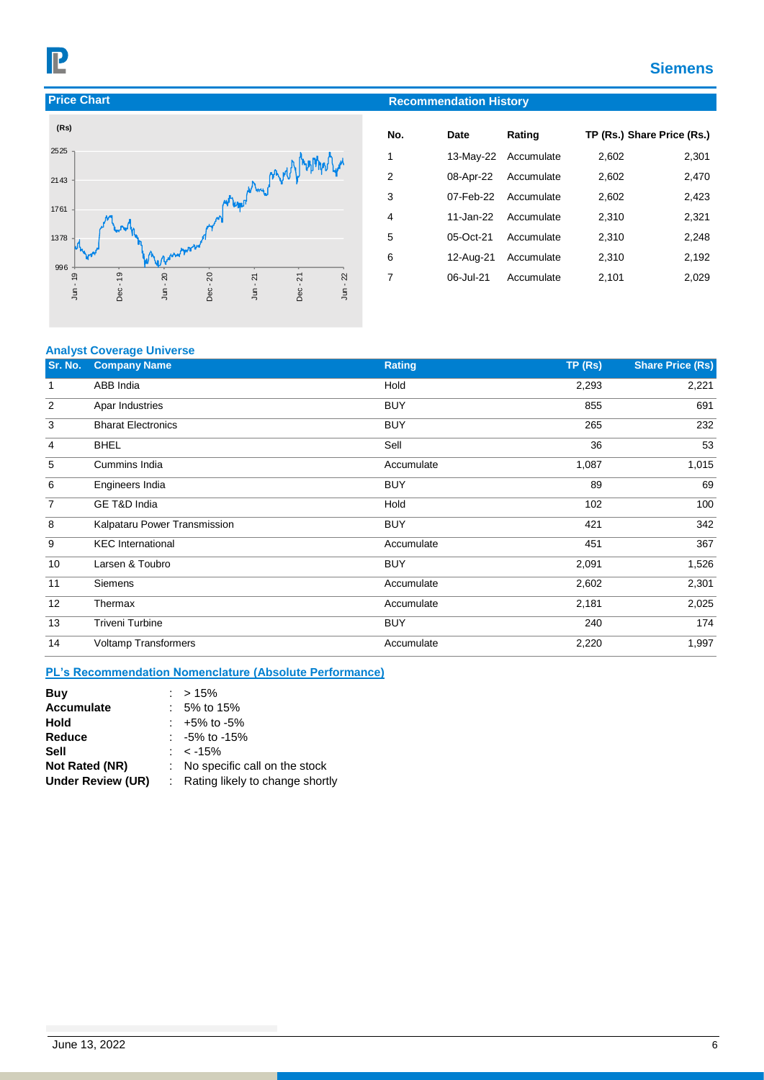## **Siemens**





| No. | Date      | Rating               | TP (Rs.) Share Price (Rs.) |       |
|-----|-----------|----------------------|----------------------------|-------|
| 1   |           | 13-May-22 Accumulate | 2,602                      | 2,301 |
| 2   |           | 08-Apr-22 Accumulate | 2,602                      | 2,470 |
| 3   |           | 07-Feb-22 Accumulate | 2,602                      | 2,423 |
| 4   |           | 11-Jan-22 Accumulate | 2,310                      | 2,321 |
| 5   | 05-Oct-21 | Accumulate           | 2,310                      | 2,248 |
| 6   | 12-Aug-21 | Accumulate           | 2,310                      | 2,192 |
| 7   | 06-Jul-21 | Accumulate           | 2,101                      | 2,029 |
|     |           |                      |                            |       |

#### **Analyst Coverage Universe**

| Sr. No. | <b>Company Name</b>          | <b>Rating</b> | TP(Rs) | <b>Share Price (Rs)</b> |
|---------|------------------------------|---------------|--------|-------------------------|
| 1       | ABB India                    | Hold          | 2,293  | 2,221                   |
| 2       | Apar Industries              | <b>BUY</b>    | 855    | 691                     |
| 3       | <b>Bharat Electronics</b>    | <b>BUY</b>    | 265    | 232                     |
| 4       | <b>BHEL</b>                  | Sell          | 36     | 53                      |
| 5       | Cummins India                | Accumulate    | 1,087  | 1,015                   |
| 6       | Engineers India              | <b>BUY</b>    | 89     | 69                      |
| 7       | GE T&D India                 | Hold          | 102    | 100                     |
| 8       | Kalpataru Power Transmission | <b>BUY</b>    | 421    | 342                     |
| 9       | <b>KEC</b> International     | Accumulate    | 451    | 367                     |
| 10      | Larsen & Toubro              | <b>BUY</b>    | 2,091  | 1,526                   |
| 11      | Siemens                      | Accumulate    | 2,602  | 2,301                   |
| 12      | Thermax                      | Accumulate    | 2,181  | 2,025                   |
| 13      | <b>Triveni Turbine</b>       | <b>BUY</b>    | 240    | 174                     |
| 14      | <b>Voltamp Transformers</b>  | Accumulate    | 2,220  | 1,997                   |

#### **PL's Recommendation Nomenclature (Absolute Performance)**

| Buy                      | $: > 15\%$                        |
|--------------------------|-----------------------------------|
| <b>Accumulate</b>        | $: 5\%$ to 15%                    |
| Hold                     | $: +5\%$ to -5%                   |
| Reduce                   | $: -5\%$ to $-15\%$               |
| Sell                     | : $<$ -15%                        |
| Not Rated (NR)           | : No specific call on the stock   |
| <b>Under Review (UR)</b> | : Rating likely to change shortly |